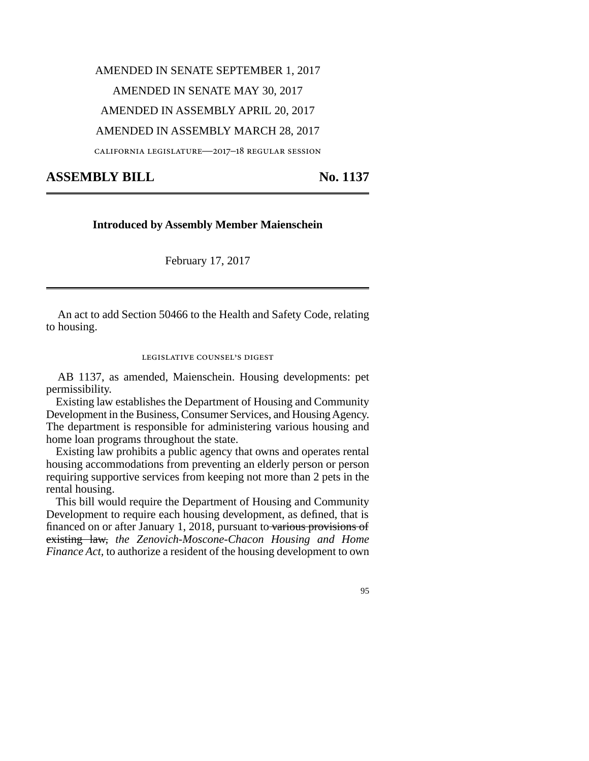## AMENDED IN SENATE SEPTEMBER 1, 2017 AMENDED IN SENATE MAY 30, 2017 AMENDED IN ASSEMBLY APRIL 20, 2017 AMENDED IN ASSEMBLY MARCH 28, 2017

california legislature—2017–18 regular session

## ASSEMBLY BILL No. 1137

## **Introduced by Assembly Member Maienschein**

February 17, 2017

An act to add Section 50466 to the Health and Safety Code, relating to housing.

legislative counsel's digest

AB 1137, as amended, Maienschein. Housing developments: pet permissibility.

Existing law establishes the Department of Housing and Community Development in the Business, Consumer Services, and Housing Agency. The department is responsible for administering various housing and home loan programs throughout the state.

Existing law prohibits a public agency that owns and operates rental housing accommodations from preventing an elderly person or person requiring supportive services from keeping not more than 2 pets in the rental housing.

This bill would require the Department of Housing and Community Development to require each housing development, as defined, that is financed on or after January 1, 2018, pursuant to various provisions of existing law, *the Zenovich-Moscone-Chacon Housing and Home Finance Act,* to authorize a resident of the housing development to own

95